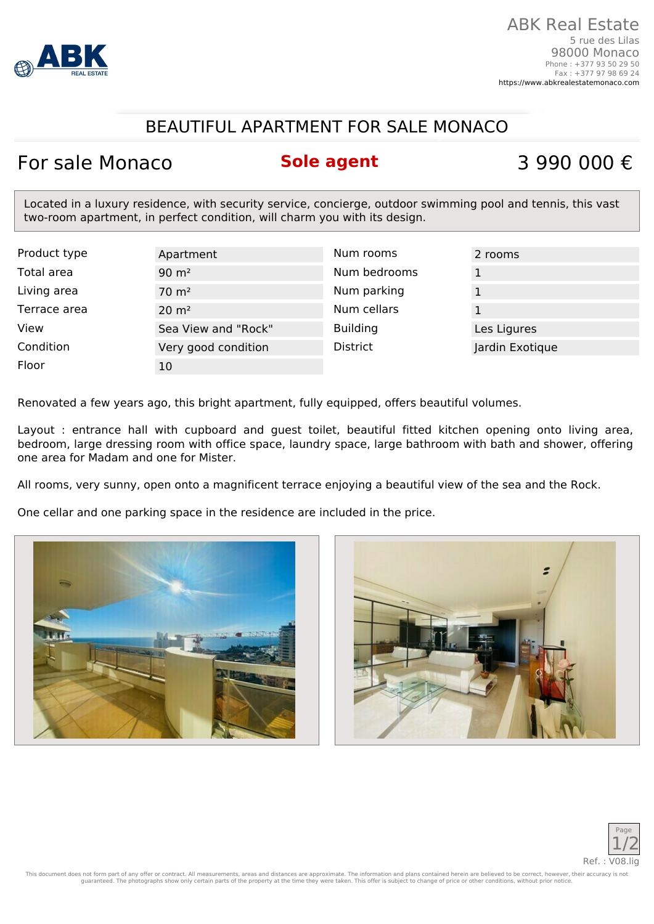

## BEAUTIFUL APARTMENT FOR SALE MONACO

## For sale Monaco **Sole agent** 3 990 000 €

Located in a luxury residence, with security service, concierge, outdoor swimming pool and tennis, this vast two-room apartment, in perfect condition, will charm you with its design.

| Product type | Apartment           | Num rooms       | 2 rooms         |
|--------------|---------------------|-----------------|-----------------|
| Total area   | $90 \text{ m}^2$    | Num bedrooms    |                 |
| Living area  | $70 \text{ m}^2$    | Num parking     |                 |
| Terrace area | $20 \text{ m}^2$    | Num cellars     |                 |
| View         | Sea View and "Rock" | <b>Building</b> | Les Ligures     |
| Condition    | Very good condition | <b>District</b> | Jardin Exotique |
| Floor        | 10                  |                 |                 |

Renovated a few years ago, this bright apartment, fully equipped, offers beautiful volumes.

Layout : entrance hall with cupboard and guest toilet, beautiful fitted kitchen opening onto living area, bedroom, large dressing room with office space, laundry space, large bathroom with bath and shower, offering one area for Madam and one for Mister.

All rooms, very sunny, open onto a magnificent terrace enjoying a beautiful view of the sea and the Rock.

One cellar and one parking space in the residence are included in the price.